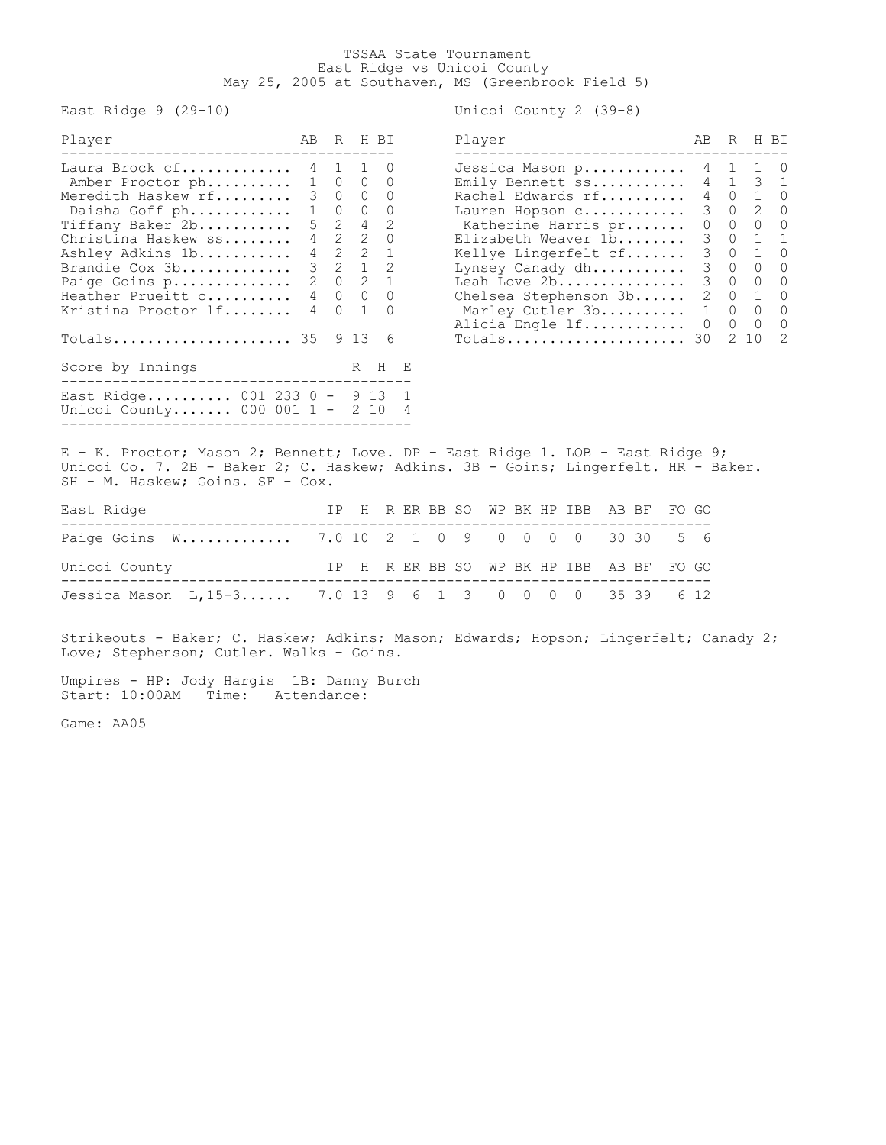## TSSAA State Tournament East Ridge vs Unicoi County May 25, 2005 at Southaven, MS (Greenbrook Field 5)

East Ridge 9 (29-10) Unicoi County 2 (39-8)

| Player                                                          |  | AB R H BI                   | Player |                               | AB R        | H BI                            |  |
|-----------------------------------------------------------------|--|-----------------------------|--------|-------------------------------|-------------|---------------------------------|--|
| Laura Brock $cf.$ 4 1 1 0                                       |  |                             |        | Jessica Mason p 4 1 1 0       |             |                                 |  |
| Amber Proctor ph 1 0 0 0                                        |  |                             |        | Emily Bennett $ss$ 4 1 3 1    |             |                                 |  |
| Meredith Haskew rf 3 0 0 0                                      |  |                             |        | Rachel Edwards rf 4 0 1 0     |             |                                 |  |
| Daisha Goff ph 1 0 0                                            |  | $\Omega$                    |        | Lauren Hopson c               |             | 3 0 2 0                         |  |
| Tiffany Baker 2b                                                |  | $5 \quad 2 \quad 4 \quad 2$ |        | Katherine Harris pr           |             | $0\qquad 0\qquad 0\qquad 0$     |  |
| Christina Haskew ss                                             |  | 4 2 2 0                     |        | Elizabeth Weaver 1b           |             | 3 0 1 1                         |  |
| Ashley Adkins 1b                                                |  | $4$ 2 2 1                   |        | Kellye Lingerfelt cf          |             | 3 0 1 0                         |  |
| Brandie Cox 3b                                                  |  | $3 \t2 \t1 \t2$             |        | Lynsey Canady dh              |             | 3 0 0 0                         |  |
| Paige Goins p                                                   |  | $2 \t 0 \t 2 \t 1$          |        | Leah Love 2b                  | $3 \quad 0$ | $\begin{matrix}0&0\end{matrix}$ |  |
| Heather Prueitt c                                               |  | 4 0 0 0                     |        | Chelsea Stephenson 3b 2 0 1 0 |             |                                 |  |
| Kristina Proctor lf                                             |  | 4 0 1 0                     |        | Marley Cutler 3b 1 0 0 0      |             |                                 |  |
|                                                                 |  |                             |        | Alicia Engle 1f 0 0 0 0       |             |                                 |  |
| Totals 35 9 13 6                                                |  |                             |        | $Totals$ 30                   |             | $2\;10\;2$                      |  |
| Score by Innings                                                |  | R H E                       |        |                               |             |                                 |  |
| East Ridge 001 233 0 - 9 13 1<br>Unicoi County 000 001 1 - 2 10 |  |                             |        |                               |             |                                 |  |
|                                                                 |  |                             |        |                               |             |                                 |  |

| Player                  | AB | R |              | H BI             |
|-------------------------|----|---|--------------|------------------|
| Jessica Mason p         | 4  | 1 | $\mathbf 1$  | $\left( \right)$ |
| Emily Bennett ss        | 4  | 1 | 3            | 1                |
| Rachel Edwards rf       | 4  | 0 | $\mathbf{1}$ | 0                |
| Lauren Hopson c         | 3  | 0 | 2            | $\left( \right)$ |
| Katherine Harris pr     | 0  | 0 | 0            | 0                |
| Elizabeth Weaver 1b     | 3  | 0 | 1            | 1                |
| Kellye Lingerfelt cf    | 3  | 0 | $\mathbf{1}$ | $\Omega$         |
| Lynsey Canady dh        | 3  | 0 | 0            | 0                |
| Leah Love 2b            | 3  | 0 | 0            | $\Omega$         |
| Chelsea Stephenson $3b$ | 2  | 0 | 1            | O                |
| Marley Cutler 3b        | 1  | 0 | 0            | 0                |
| Alicia Engle 1f         | Ω  | 0 | $\Omega$     | 0                |
| Totals                  | 30 | 2 | 10           | 2                |

E - K. Proctor; Mason 2; Bennett; Love. DP - East Ridge 1. LOB - East Ridge 9; Unicoi Co. 7. 2B - Baker 2; C. Haskew; Adkins. 3B - Goins; Lingerfelt. HR - Baker. SH - M. Haskew; Goins. SF - Cox.

| East Ridge                                              |  |  |  |  |  |  | IP H R ER BB SO WP BK HP IBB AB BF FO GO |  |
|---------------------------------------------------------|--|--|--|--|--|--|------------------------------------------|--|
| Paige Goins W 7.0 10 2 1 0 9 0 0 0 0 30 30 5 6          |  |  |  |  |  |  |                                          |  |
| Unicoi County                                           |  |  |  |  |  |  | IP H R ER BB SO WP BK HP IBB AB BF FO GO |  |
| Jessica Mason L, 15-3 7.0 13 9 6 1 3 0 0 0 0 35 39 6 12 |  |  |  |  |  |  |                                          |  |

Strikeouts - Baker; C. Haskew; Adkins; Mason; Edwards; Hopson; Lingerfelt; Canady 2; Love; Stephenson; Cutler. Walks - Goins.

Umpires - HP: Jody Hargis 1B: Danny Burch Start: 10:00AM Time: Attendance:

Game: AA05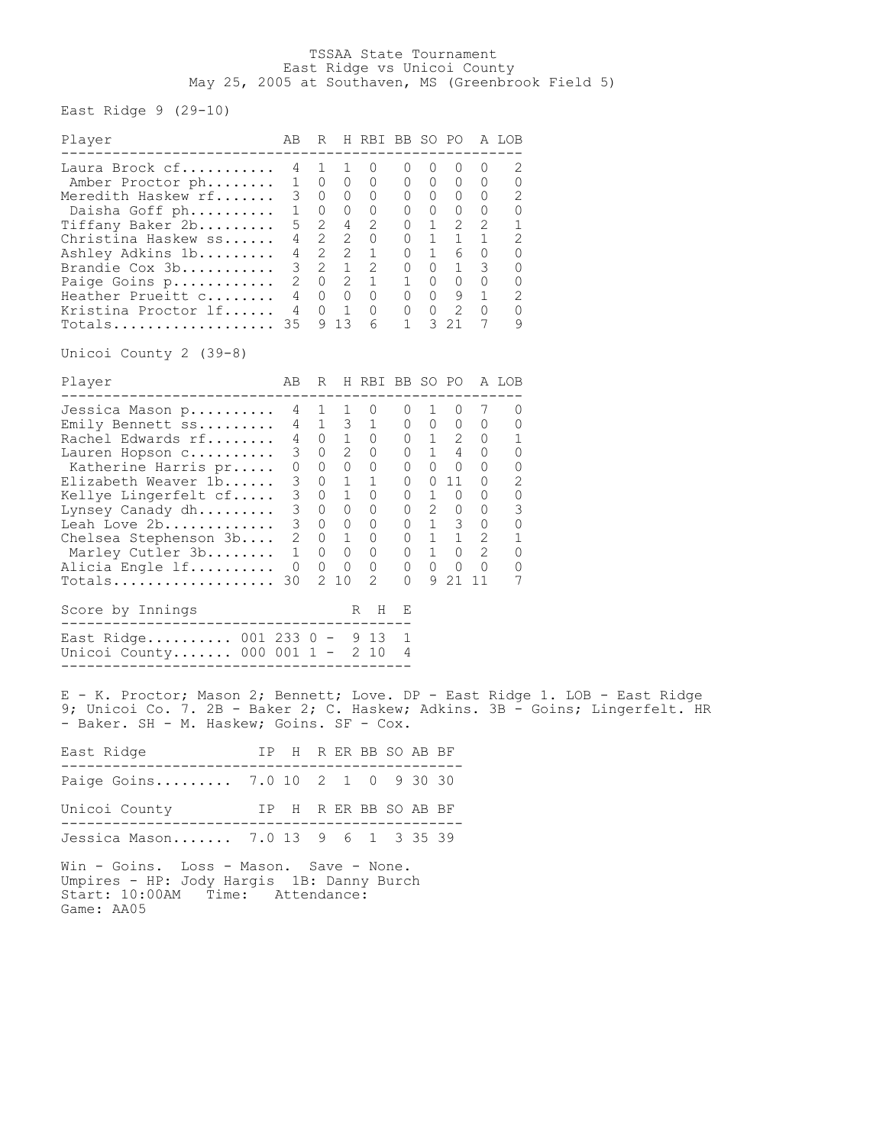## TSSAA State Tournament East Ridge vs Unicoi County May 25, 2005 at Southaven, MS (Greenbrook Field 5)

East Ridge  $9$  (29-10)

| Player                                                                                                                                                                                                                                                                                 | AВ                                                                                                                                                                                                                                       | R          |                      | H RBI BB SO PO A LOB      |                                                                                           |         |                                                      |              |                                                                                                                                                                                                                                                                             |  |
|----------------------------------------------------------------------------------------------------------------------------------------------------------------------------------------------------------------------------------------------------------------------------------------|------------------------------------------------------------------------------------------------------------------------------------------------------------------------------------------------------------------------------------------|------------|----------------------|---------------------------|-------------------------------------------------------------------------------------------|---------|------------------------------------------------------|--------------|-----------------------------------------------------------------------------------------------------------------------------------------------------------------------------------------------------------------------------------------------------------------------------|--|
| Laura Brock cf<br>Amber Proctor ph<br>Meredith Haskew rf<br>Daisha Goff ph<br>Tiffany Baker 2b<br>Christina Haskew ss<br>Ashley Adkins 1b<br>Brandie Cox 3b<br>Paige Goins p<br>Heather Prueitt c<br>Kristina Proctor lf<br>$\texttt{Totals} \dots \dots \dots \dots \dots \dots \ 35$ | 4<br>$\begin{array}{cccccccc} 1&0&0&0&0&0&0&0 \\ 3&0&0&0&0&0&0&0 \\ 1&0&0&0&0&0&0&0 \\ 5&2&4&2&0&1&2&2 \\ 4&2&2&0&0&1&6&0 \\ 3&2&1&2&0&0&1&6 \\ 3&2&1&2&0&0&1&3 \\ 2&0&2&1&1&0&0&0 \\ 4&0&1&0&0&0&2&0 \\ 35&9&13&6&1&3&21&7 \end{array}$ | 1<br>1 0 0 | $\mathbf{1}$<br>9 13 | 0<br>0<br>6               | 0<br>0<br>$\mathbf{1}$                                                                    | $\circ$ | 0<br>$\begin{matrix} 0 & 0 & 0 \end{matrix}$<br>3 21 | $\circ$<br>7 | 2<br>0<br>2<br>0<br>1<br>2<br>0<br>0<br>0<br>2<br>0<br>9                                                                                                                                                                                                                    |  |
| Unicoi County 2 (39-8)<br>Player                                                                                                                                                                                                                                                       |                                                                                                                                                                                                                                          |            |                      | AB R H RBI BB SO PO A LOB |                                                                                           |         |                                                      |              |                                                                                                                                                                                                                                                                             |  |
| Jessica Mason p<br>Emily Bennett ss<br>Rachel Edwards rf<br>Lauren Hopson c<br>Katherine Harris pr<br>Elizabeth Weaver $1b$<br>Kellye Lingerfelt cf<br>Lynsey Canady $dh$<br>Leah Love 2b<br>Chelsea Stephenson 3b<br>Marley Cutler 3b<br>Alicia Engle lf<br>Score by Innings          | $\begin{matrix} 0 & 0 & 0 \end{matrix}$                                                                                                                                                                                                  | 4 1        | 2 10                 | 1 0<br>2<br>R H           | $0 \quad 1 \quad 0$<br>$\begin{matrix} 0 & 0 & 0 & 0 \end{matrix}$<br>$\overline{0}$<br>Е |         | 9 21 11                                              | 7<br>$\circ$ | 0<br>$\begin{array}{cccccccc} 4&1&1&0&0&1&0&\prime&0\\ 4&1&3&1&0&0&0&0&0\\ 4&0&1&0&0&1&2&0&1\\ 3&0&2&0&0&1&4&0&0\\ 0&0&0&0&0&0&0&0&0\\ 3&0&1&1&0&0&11&0&2\\ 3&0&1&0&0&1&0&0&0\\ 3&0&0&0&0&2&0&0&3\\ 3&0&0&0&0&1&1&2&1\\ 1&0&0&0&0&1&0&2&0\\ 0&0&0&0&0&0&0&0&0\\ $<br>0<br>7 |  |
| -------------<br>East Ridge 001 233 0 - 9 13<br>Unicoi County 000 001 1 - 2 10                                                                                                                                                                                                         |                                                                                                                                                                                                                                          |            |                      |                           | 1<br>4                                                                                    |         |                                                      |              |                                                                                                                                                                                                                                                                             |  |
| E - K. Proctor; Mason 2; Bennett; Love. DP - East Ridge 1. LOB - East Ridge<br>9; Unicoi Co. 7. 2B - Baker 2; C. Haskew; Adkins. 3B - Goins; Lingerfelt. HR<br>- Baker. SH - M. Haskew; Goins. SF - Cox.                                                                               |                                                                                                                                                                                                                                          |            |                      |                           |                                                                                           |         |                                                      |              |                                                                                                                                                                                                                                                                             |  |
| East Ridge<br>IP H R ER BB SO AB BF                                                                                                                                                                                                                                                    |                                                                                                                                                                                                                                          |            |                      |                           |                                                                                           |         |                                                      |              |                                                                                                                                                                                                                                                                             |  |
| Paige Goins 7.0 10 2 1 0<br>IP H R ER BB SO AB BF<br>Unicoi County                                                                                                                                                                                                                     |                                                                                                                                                                                                                                          |            |                      |                           |                                                                                           | 9 30 30 |                                                      |              |                                                                                                                                                                                                                                                                             |  |

Jessica Mason....... 7.0 13 9 6 1 3 35 39

Win - Goins. Loss - Mason. Save - None. Umpires - HP: Jody Hargis 1B: Danny Burch Start: 10:00AM Time: Attendance: Game: AA05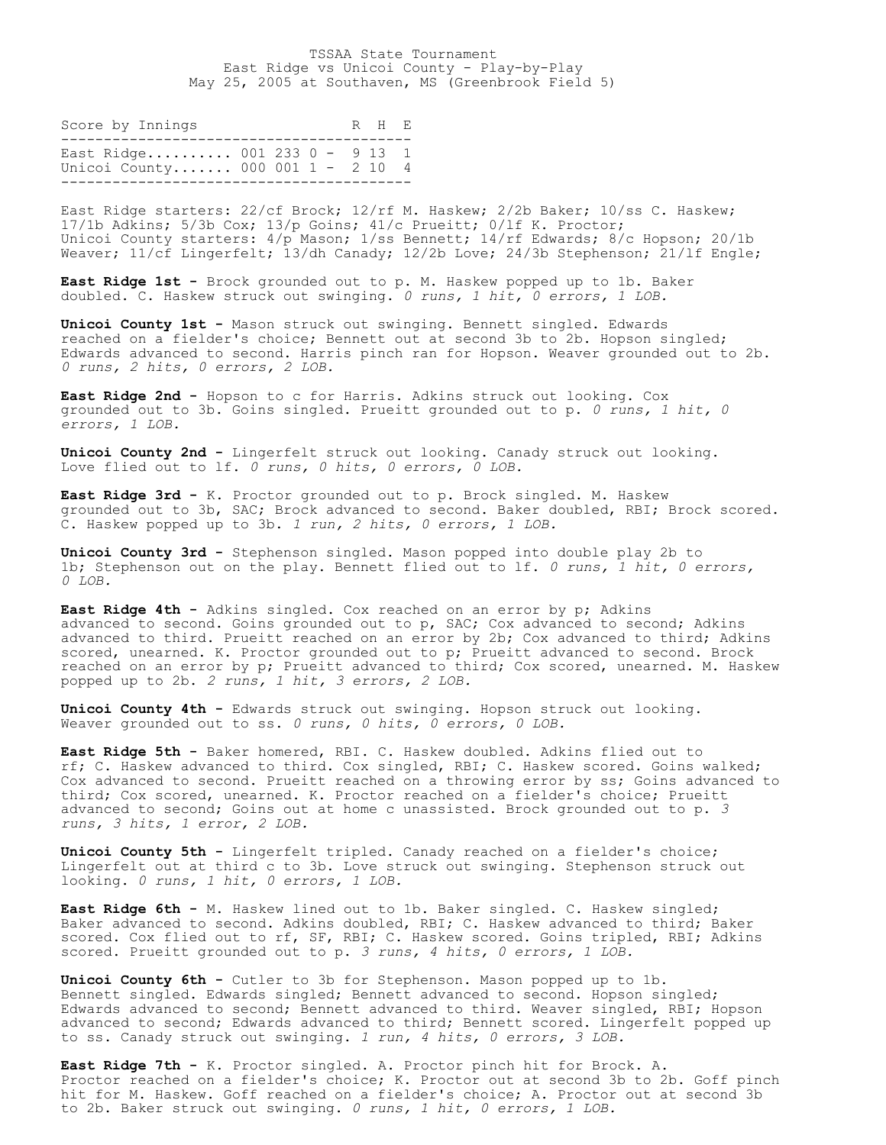## TSSAA State Tournament East Ridge vs Unicoi County - Play-by-Play May 25, 2005 at Southaven, MS (Greenbrook Field 5)

| Score by Innings                                                  |  |  | R H F. |  |
|-------------------------------------------------------------------|--|--|--------|--|
| East Ridge 001 233 0 - 9 13 1<br>Unicoi County 000 001 1 - 2 10 4 |  |  |        |  |

East Ridge starters: 22/cf Brock; 12/rf M. Haskew; 2/2b Baker; 10/ss C. Haskew; 17/1b Adkins; 5/3b Cox; 13/p Goins; 41/c Prueitt; 0/lf K. Proctor; Unicoi County starters: 4/p Mason; 1/ss Bennett; 14/rf Edwards; 8/c Hopson; 20/1b Weaver;  $11/c$ f Lingerfelt; 13/dh Canady; 12/2b Love; 24/3b Stephenson; 21/1f Engle;

**East Ridge 1st -** Brock grounded out to p. M. Haskew popped up to 1b. Baker doubled. C. Haskew struck out swinging. *0 runs, 1 hit, 0 errors, 1 LOB.*

**Unicoi County 1st -** Mason struck out swinging. Bennett singled. Edwards reached on a fielder's choice; Bennett out at second 3b to 2b. Hopson singled; Edwards advanced to second. Harris pinch ran for Hopson. Weaver grounded out to 2b. *0 runs, 2 hits, 0 errors, 2 LOB.*

**East Ridge 2nd -** Hopson to c for Harris. Adkins struck out looking. Cox grounded out to 3b. Goins singled. Prueitt grounded out to p. *0 runs, 1 hit, 0 errors, 1 LOB.*

**Unicoi County 2nd -** Lingerfelt struck out looking. Canady struck out looking. Love flied out to lf. *0 runs, 0 hits, 0 errors, 0 LOB.*

**East Ridge 3rd -** K. Proctor grounded out to p. Brock singled. M. Haskew grounded out to 3b, SAC; Brock advanced to second. Baker doubled, RBI; Brock scored. C. Haskew popped up to 3b. *1 run, 2 hits, 0 errors, 1 LOB.*

**Unicoi County 3rd -** Stephenson singled. Mason popped into double play 2b to 1b; Stephenson out on the play. Bennett flied out to lf. *0 runs, 1 hit, 0 errors, 0 LOB.*

**East Ridge 4th -** Adkins singled. Cox reached on an error by p; Adkins advanced to second. Goins grounded out to p, SAC; Cox advanced to second; Adkins advanced to third. Prueitt reached on an error by 2b; Cox advanced to third; Adkins scored, unearned. K. Proctor grounded out to p; Prueitt advanced to second. Brock reached on an error by p; Prueitt advanced to third; Cox scored, unearned. M. Haskew popped up to 2b. *2 runs, 1 hit, 3 errors, 2 LOB.*

**Unicoi County 4th -** Edwards struck out swinging. Hopson struck out looking. Weaver grounded out to ss. *0 runs, 0 hits, 0 errors, 0 LOB.*

**East Ridge 5th -** Baker homered, RBI. C. Haskew doubled. Adkins flied out to rf; C. Haskew advanced to third. Cox singled, RBI; C. Haskew scored. Goins walked; Cox advanced to second. Prueitt reached on a throwing error by ss; Goins advanced to third; Cox scored, unearned. K. Proctor reached on a fielder's choice; Prueitt advanced to second; Goins out at home c unassisted. Brock grounded out to p. *3 runs, 3 hits, 1 error, 2 LOB.*

**Unicoi County 5th -** Lingerfelt tripled. Canady reached on a fielder's choice; Lingerfelt out at third c to 3b. Love struck out swinging. Stephenson struck out looking. *0 runs, 1 hit, 0 errors, 1 LOB.*

**East Ridge 6th -** M. Haskew lined out to 1b. Baker singled. C. Haskew singled; Baker advanced to second. Adkins doubled, RBI; C. Haskew advanced to third; Baker scored. Cox flied out to rf, SF, RBI; C. Haskew scored. Goins tripled, RBI; Adkins scored. Prueitt grounded out to p. *3 runs, 4 hits, 0 errors, 1 LOB.*

**Unicoi County 6th -** Cutler to 3b for Stephenson. Mason popped up to 1b. Bennett singled. Edwards singled; Bennett advanced to second. Hopson singled; Edwards advanced to second; Bennett advanced to third. Weaver singled, RBI; Hopson advanced to second; Edwards advanced to third; Bennett scored. Lingerfelt popped up to ss. Canady struck out swinging. *1 run, 4 hits, 0 errors, 3 LOB.*

**East Ridge 7th -** K. Proctor singled. A. Proctor pinch hit for Brock. A. Proctor reached on a fielder's choice; K. Proctor out at second 3b to 2b. Goff pinch hit for M. Haskew. Goff reached on a fielder's choice; A. Proctor out at second 3b to 2b. Baker struck out swinging. *0 runs, 1 hit, 0 errors, 1 LOB.*